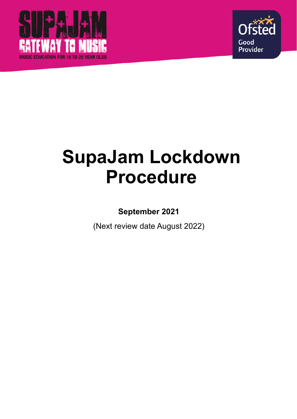



# **SupaJam Lockdown Procedure**

**September 2021** 

(Next review date August 2022)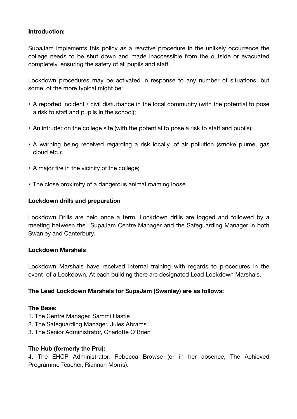### **Introduction:**

SupaJam implements this policy as a reactive procedure in the unlikely occurrence the college needs to be shut down and made inaccessible from the outside or evacuated completely, ensuring the safety of all pupils and staff.

Lockdown procedures may be activated in response to any number of situations, but some of the more typical might be:

- A reported incident / civil disturbance in the local community (with the potential to pose a risk to staff and pupils in the school);
- An intruder on the college site (with the potential to pose a risk to staff and pupils);
- A warning being received regarding a risk locally, of air pollution (smoke plume, gas cloud etc.);
- A major fire in the vicinity of the college;
- The close proximity of a dangerous animal roaming loose.

### **Lockdown drills and preparation**

Lockdown Drills are held once a term. Lockdown drills are logged and followed by a meeting between the SupaJam Centre Manager and the Safeguarding Manager in both Swanley and Canterbury.

### **Lockdown Marshals**

Lockdown Marshals have received internal training with regards to procedures in the event of a Lockdown. At each building there are designated Lead Lockdown Marshals.

### **The Lead Lockdown Marshals for SupaJam (Swanley) are as follows:**

### **The Base:**

- 1. The Centre Manager, Sammi Hastie
- 2. The Safeguarding Manager, Jules Abrams
- 3. The Senior Administrator, Charlotte O'Brien

### **The Hub (formerly the Pru):**

4. The EHCP Administrator, Rebecca Browse (or in her absence, The Achieved Programme Teacher, Riannan Morris).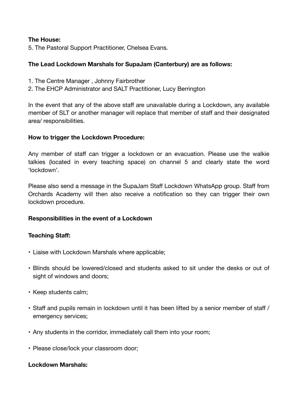### **The House:**

5. The Pastoral Support Practitioner, Chelsea Evans.

## **The Lead Lockdown Marshals for SupaJam (Canterbury) are as follows:**

- 1. The Centre Manager , Johnny Fairbrother
- 2. The EHCP Administrator and SALT Practitioner, Lucy Berrington

In the event that any of the above staff are unavailable during a Lockdown, any available member of SLT or another manager will replace that member of staff and their designated area/ responsibilities.

### **How to trigger the Lockdown Procedure:**

Any member of staff can trigger a lockdown or an evacuation. Please use the walkie talkies (located in every teaching space) on channel 5 and clearly state the word 'lockdown'.

Please also send a message in the SupaJam Staff Lockdown WhatsApp group. Staff from Orchards Academy will then also receive a notification so they can trigger their own lockdown procedure.

### **Responsibilities in the event of a Lockdown**

### **Teaching Staff:**

- Liaise with Lockdown Marshals where applicable;
- Blinds should be lowered/closed and students asked to sit under the desks or out of sight of windows and doors;
- Keep students calm;
- Staff and pupils remain in lockdown until it has been lifted by a senior member of staff / emergency services;
- Any students in the corridor, immediately call them into your room;
- Please close/lock your classroom door;

#### **Lockdown Marshals:**